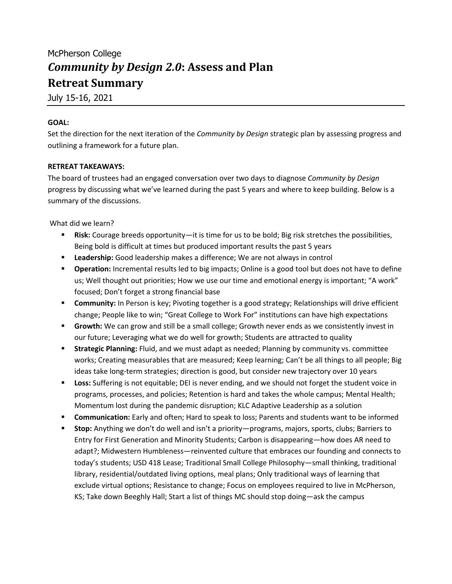## McPherson College *Community by Design 2.0***: Assess and Plan Retreat Summary**

July 15-16, 2021

## **GOAL:**

Set the direction for the next iteration of the *Community by Design* strategic plan by assessing progress and outlining a framework for a future plan.

## **RETREAT TAKEAWAYS:**

The board of trustees had an engaged conversation over two days to diagnose *Community by Design* progress by discussing what we've learned during the past 5 years and where to keep building. Below is a summary of the discussions.

What did we learn?

- **Risk:** Courage breeds opportunity—it is time for us to be bold; Big risk stretches the possibilities, Being bold is difficult at times but produced important results the past 5 years
- § **Leadership:** Good leadership makes a difference; We are not always in control
- § **Operation:** Incremental results led to big impacts; Online is a good tool but does not have to define us; Well thought out priorities; How we use our time and emotional energy is important; "A work" focused; Don't forget a strong financial base
- **Community:** In Person is key; Pivoting together is a good strategy; Relationships will drive efficient change; People like to win; "Great College to Work For" institutions can have high expectations
- **Growth:** We can grow and still be a small college; Growth never ends as we consistently invest in our future; Leveraging what we do well for growth; Students are attracted to quality
- **EXTER 5trategic Planning:** Fluid, and we must adapt as needed; Planning by community vs. committee works; Creating measurables that are measured; Keep learning; Can't be all things to all people; Big ideas take long-term strategies; direction is good, but consider new trajectory over 10 years
- **Loss:** Suffering is not equitable; DEI is never ending, and we should not forget the student voice in programs, processes, and policies; Retention is hard and takes the whole campus; Mental Health; Momentum lost during the pandemic disruption; KLC Adaptive Leadership as a solution
- § **Communication:** Early and often; Hard to speak to loss; Parents and students want to be informed
- § **Stop:** Anything we don't do well and isn't a priority—programs, majors, sports, clubs; Barriers to Entry for First Generation and Minority Students; Carbon is disappearing—how does AR need to adapt?; Midwestern Humbleness—reinvented culture that embraces our founding and connects to today's students; USD 418 Lease; Traditional Small College Philosophy—small thinking, traditional library, residential/outdated living options, meal plans; Only traditional ways of learning that exclude virtual options; Resistance to change; Focus on employees required to live in McPherson, KS; Take down Beeghly Hall; Start a list of things MC should stop doing—ask the campus